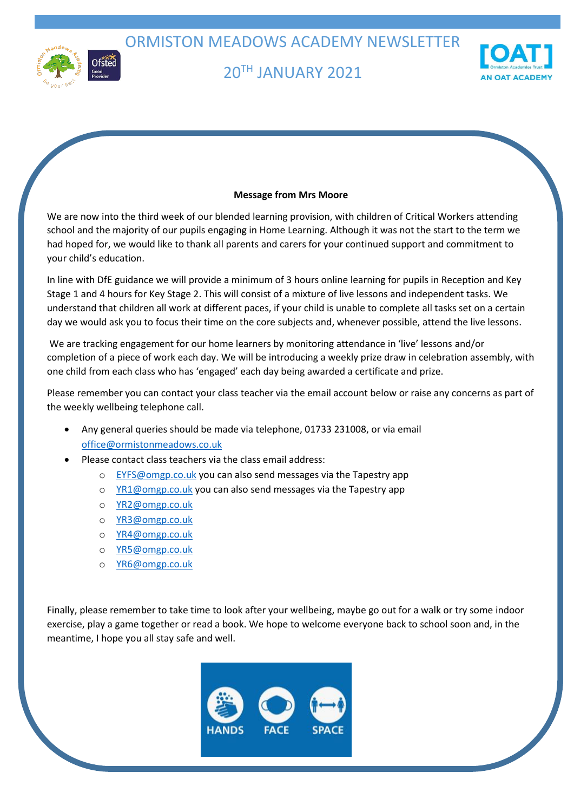ORMISTON MEADOWS ACADEMY NEWSLETTER



# 20TH JANUARY 2021



### **Message from Mrs Moore**

We are now into the third week of our blended learning provision, with children of Critical Workers attending school and the majority of our pupils engaging in Home Learning. Although it was not the start to the term we had hoped for, we would like to thank all parents and carers for your continued support and commitment to your child's education.

In line with DfE guidance we will provide a minimum of 3 hours online learning for pupils in Reception and Key Stage 1 and 4 hours for Key Stage 2. This will consist of a mixture of live lessons and independent tasks. We understand that children all work at different paces, if your child is unable to complete all tasks set on a certain day we would ask you to focus their time on the core subjects and, whenever possible, attend the live lessons.

We are tracking engagement for our home learners by monitoring attendance in 'live' lessons and/or completion of a piece of work each day. We will be introducing a weekly prize draw in celebration assembly, with one child from each class who has 'engaged' each day being awarded a certificate and prize.

Please remember you can contact your class teacher via the email account below or raise any concerns as part of the weekly wellbeing telephone call.

- Any general queries should be made via telephone, 01733 231008, or via email [office@ormistonmeadows.co.uk](mailto:office@ormistonmeadows.co.uk)
- Please contact class teachers via the class email address:
	- o [EYFS@omgp.co.uk](mailto:EYFS@omgp.co.uk) you can also send messages via the Tapestry app
	- o [YR1@omgp.co.uk](mailto:YR1@omgp.co.uk) you can also send messages via the Tapestry app
	- o [YR2@omgp.co.uk](mailto:YR2@omgp.co.uk)
	- o [YR3@omgp.co.uk](mailto:YR3@omgp.co.uk)
	- o [YR4@omgp.co.uk](mailto:YR4@omgp.co.uk)
	- o [YR5@omgp.co.uk](mailto:YR5@omgp.co.uk)
	- o [YR6@omgp.co.uk](mailto:YR6@omgp.co.uk)

Finally, please remember to take time to look after your wellbeing, maybe go out for a walk or try some indoor exercise, play a game together or read a book. We hope to welcome everyone back to school soon and, in the meantime, I hope you all stay safe and well.